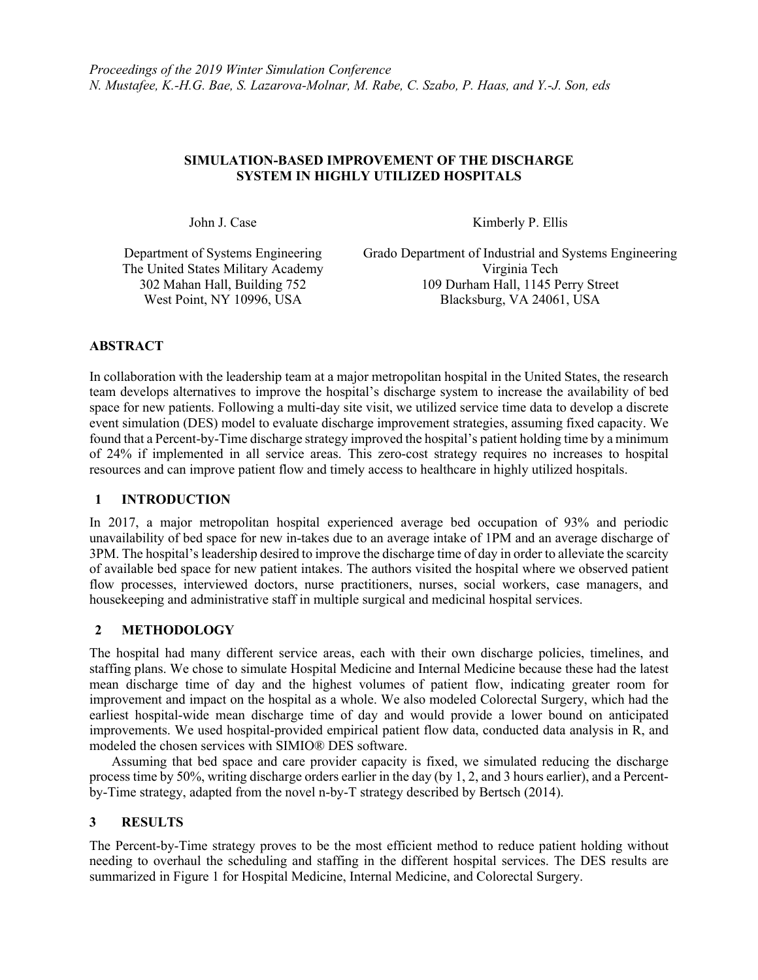## **SIMULATION-BASED IMPROVEMENT OF THE DISCHARGE SYSTEM IN HIGHLY UTILIZED HOSPITALS**

John J. Case Kimberly P. Ellis

Department of Systems Engineering The United States Military Academy West Point, NY 10996, USA

Grado Department of Industrial and Systems Engineering Virginia Tech 302 Mahan Hall, Building 752 109 Durham Hall, 1145 Perry Street

# **ABSTRACT**

In collaboration with the leadership team at a major metropolitan hospital in the United States, the research team develops alternatives to improve the hospital's discharge system to increase the availability of bed space for new patients. Following a multi-day site visit, we utilized service time data to develop a discrete event simulation (DES) model to evaluate discharge improvement strategies, assuming fixed capacity. We found that a Percent-by-Time discharge strategy improved the hospital's patient holding time by a minimum of 24% if implemented in all service areas. This zero-cost strategy requires no increases to hospital resources and can improve patient flow and timely access to healthcare in highly utilized hospitals.

### **1 INTRODUCTION**

In 2017, a major metropolitan hospital experienced average bed occupation of 93% and periodic unavailability of bed space for new in-takes due to an average intake of 1PM and an average discharge of 3PM. The hospital's leadership desired to improve the discharge time of day in order to alleviate the scarcity of available bed space for new patient intakes. The authors visited the hospital where we observed patient flow processes, interviewed doctors, nurse practitioners, nurses, social workers, case managers, and housekeeping and administrative staff in multiple surgical and medicinal hospital services.

# **2 METHODOLOGY**

The hospital had many different service areas, each with their own discharge policies, timelines, and staffing plans. We chose to simulate Hospital Medicine and Internal Medicine because these had the latest mean discharge time of day and the highest volumes of patient flow, indicating greater room for improvement and impact on the hospital as a whole. We also modeled Colorectal Surgery, which had the earliest hospital-wide mean discharge time of day and would provide a lower bound on anticipated improvements. We used hospital-provided empirical patient flow data, conducted data analysis in R, and modeled the chosen services with SIMIO® DES software.

Assuming that bed space and care provider capacity is fixed, we simulated reducing the discharge process time by 50%, writing discharge orders earlier in the day (by 1, 2, and 3 hours earlier), and a Percentby-Time strategy, adapted from the novel n-by-T strategy described by Bertsch (2014).

### **3 RESULTS**

The Percent-by-Time strategy proves to be the most efficient method to reduce patient holding without needing to overhaul the scheduling and staffing in the different hospital services. The DES results are summarized in Figure 1 for Hospital Medicine, Internal Medicine, and Colorectal Surgery.